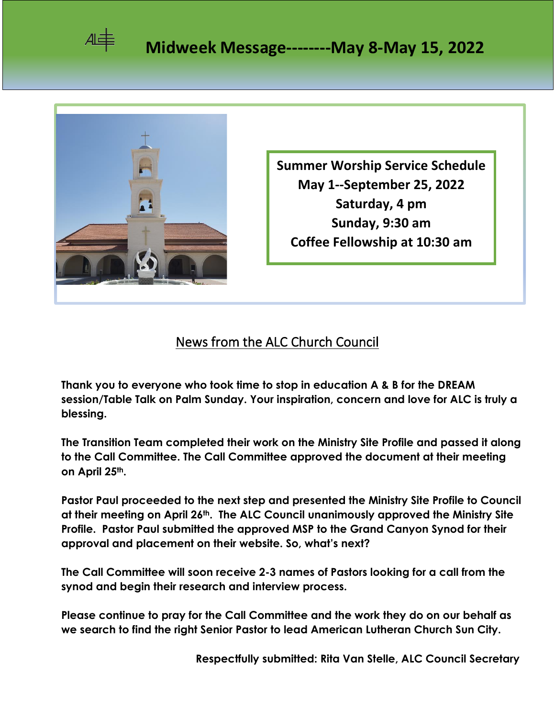



**Summer Worship Service Schedule May 1--September 25, 2022 Saturday, 4 pm Sunday, 9:30 am Coffee Fellowship at 10:30 am**

## News from the ALC Church Council

**Thank you to everyone who took time to stop in education A & B for the DREAM session/Table Talk on Palm Sunday. Your inspiration, concern and love for ALC is truly a blessing.**

**The Transition Team completed their work on the Ministry Site Profile and passed it along to the Call Committee. The Call Committee approved the document at their meeting on April 25th.** 

**Pastor Paul proceeded to the next step and presented the Ministry Site Profile to Council at their meeting on April 26th. The ALC Council unanimously approved the Ministry Site Profile. Pastor Paul submitted the approved MSP to the Grand Canyon Synod for their approval and placement on their website. So, what's next?**

**The Call Committee will soon receive 2-3 names of Pastors looking for a call from the synod and begin their research and interview process.**

**Please continue to pray for the Call Committee and the work they do on our behalf as we search to find the right Senior Pastor to lead American Lutheran Church Sun City.**

**Respectfully submitted: Rita Van Stelle, ALC Council Secretary**